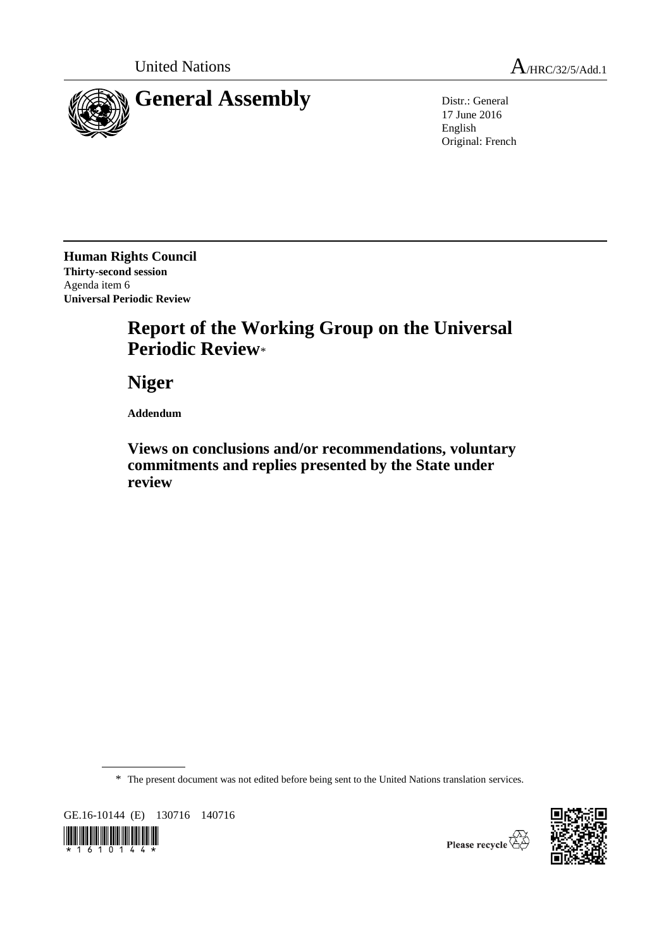

17 June 2016 English Original: French

**Human Rights Council Thirty-second session** Agenda item 6 **Universal Periodic Review**

# **Report of the Working Group on the Universal Periodic Review**\*

**Niger**

**Addendum**

**Views on conclusions and/or recommendations, voluntary commitments and replies presented by the State under review**

\* The present document was not edited before being sent to the United Nations translation services.

GE.16-10144 (E) 130716 140716



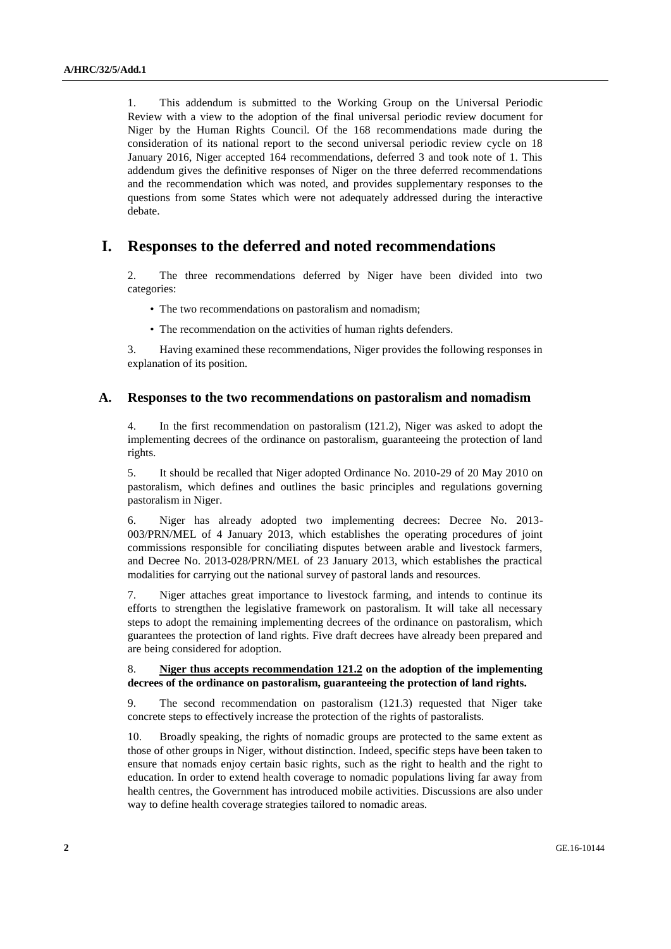1. This addendum is submitted to the Working Group on the Universal Periodic Review with a view to the adoption of the final universal periodic review document for Niger by the Human Rights Council. Of the 168 recommendations made during the consideration of its national report to the second universal periodic review cycle on 18 January 2016, Niger accepted 164 recommendations, deferred 3 and took note of 1. This addendum gives the definitive responses of Niger on the three deferred recommendations and the recommendation which was noted, and provides supplementary responses to the questions from some States which were not adequately addressed during the interactive debate.

# **I. Responses to the deferred and noted recommendations**

2. The three recommendations deferred by Niger have been divided into two categories:

- The two recommendations on pastoralism and nomadism;
- The recommendation on the activities of human rights defenders.

3. Having examined these recommendations, Niger provides the following responses in explanation of its position.

#### **A. Responses to the two recommendations on pastoralism and nomadism**

4. In the first recommendation on pastoralism (121.2), Niger was asked to adopt the implementing decrees of the ordinance on pastoralism, guaranteeing the protection of land rights.

5. It should be recalled that Niger adopted Ordinance No. 2010-29 of 20 May 2010 on pastoralism, which defines and outlines the basic principles and regulations governing pastoralism in Niger.

6. Niger has already adopted two implementing decrees: Decree No. 2013- 003/PRN/MEL of 4 January 2013, which establishes the operating procedures of joint commissions responsible for conciliating disputes between arable and livestock farmers, and Decree No. 2013-028/PRN/MEL of 23 January 2013, which establishes the practical modalities for carrying out the national survey of pastoral lands and resources.

7. Niger attaches great importance to livestock farming, and intends to continue its efforts to strengthen the legislative framework on pastoralism. It will take all necessary steps to adopt the remaining implementing decrees of the ordinance on pastoralism, which guarantees the protection of land rights. Five draft decrees have already been prepared and are being considered for adoption.

#### 8. **Niger thus accepts recommendation 121.2 on the adoption of the implementing decrees of the ordinance on pastoralism, guaranteeing the protection of land rights.**

9. The second recommendation on pastoralism (121.3) requested that Niger take concrete steps to effectively increase the protection of the rights of pastoralists.

10. Broadly speaking, the rights of nomadic groups are protected to the same extent as those of other groups in Niger, without distinction. Indeed, specific steps have been taken to ensure that nomads enjoy certain basic rights, such as the right to health and the right to education. In order to extend health coverage to nomadic populations living far away from health centres, the Government has introduced mobile activities. Discussions are also under way to define health coverage strategies tailored to nomadic areas.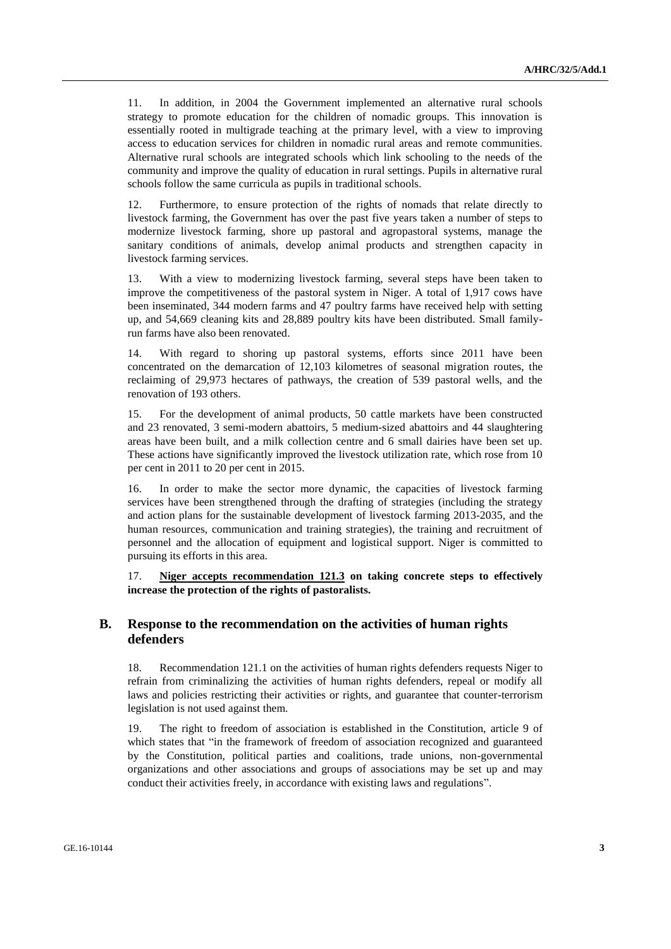11. In addition, in 2004 the Government implemented an alternative rural schools strategy to promote education for the children of nomadic groups. This innovation is essentially rooted in multigrade teaching at the primary level, with a view to improving access to education services for children in nomadic rural areas and remote communities. Alternative rural schools are integrated schools which link schooling to the needs of the community and improve the quality of education in rural settings. Pupils in alternative rural schools follow the same curricula as pupils in traditional schools.

12. Furthermore, to ensure protection of the rights of nomads that relate directly to livestock farming, the Government has over the past five years taken a number of steps to modernize livestock farming, shore up pastoral and agropastoral systems, manage the sanitary conditions of animals, develop animal products and strengthen capacity in livestock farming services.

13. With a view to modernizing livestock farming, several steps have been taken to improve the competitiveness of the pastoral system in Niger. A total of 1,917 cows have been inseminated, 344 modern farms and 47 poultry farms have received help with setting up, and 54,669 cleaning kits and 28,889 poultry kits have been distributed. Small familyrun farms have also been renovated.

14. With regard to shoring up pastoral systems, efforts since 2011 have been concentrated on the demarcation of 12,103 kilometres of seasonal migration routes, the reclaiming of 29,973 hectares of pathways, the creation of 539 pastoral wells, and the renovation of 193 others.

15. For the development of animal products, 50 cattle markets have been constructed and 23 renovated, 3 semi-modern abattoirs, 5 medium-sized abattoirs and 44 slaughtering areas have been built, and a milk collection centre and 6 small dairies have been set up. These actions have significantly improved the livestock utilization rate, which rose from 10 per cent in 2011 to 20 per cent in 2015.

16. In order to make the sector more dynamic, the capacities of livestock farming services have been strengthened through the drafting of strategies (including the strategy and action plans for the sustainable development of livestock farming 2013-2035, and the human resources, communication and training strategies), the training and recruitment of personnel and the allocation of equipment and logistical support. Niger is committed to pursuing its efforts in this area.

17. **Niger accepts recommendation 121.3 on taking concrete steps to effectively increase the protection of the rights of pastoralists.**

### **B. Response to the recommendation on the activities of human rights defenders**

18. Recommendation 121.1 on the activities of human rights defenders requests Niger to refrain from criminalizing the activities of human rights defenders, repeal or modify all laws and policies restricting their activities or rights, and guarantee that counter-terrorism legislation is not used against them.

19. The right to freedom of association is established in the Constitution, article 9 of which states that "in the framework of freedom of association recognized and guaranteed by the Constitution, political parties and coalitions, trade unions, non-governmental organizations and other associations and groups of associations may be set up and may conduct their activities freely, in accordance with existing laws and regulations".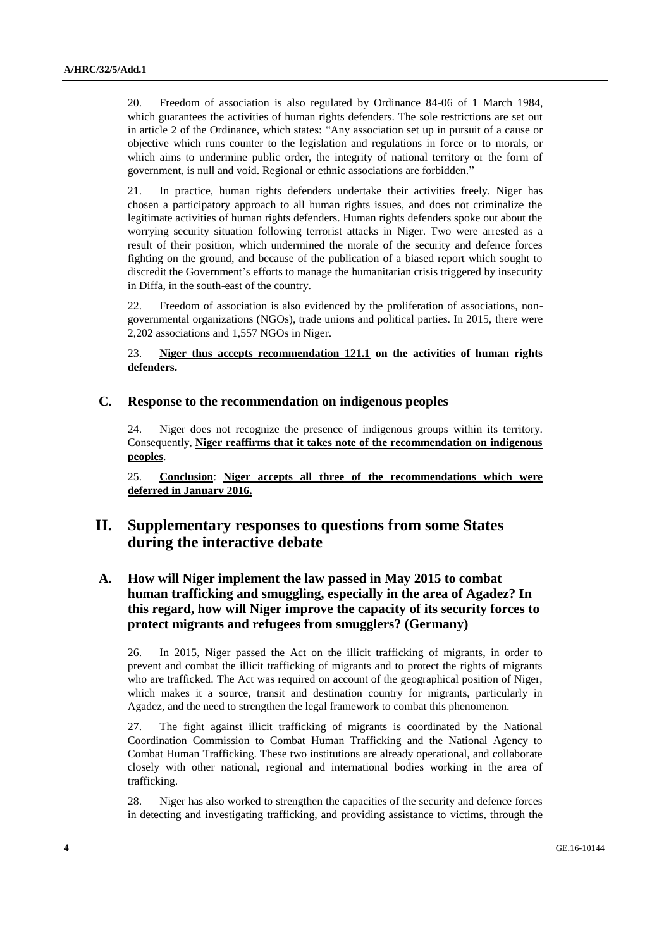20. Freedom of association is also regulated by Ordinance 84-06 of 1 March 1984, which guarantees the activities of human rights defenders. The sole restrictions are set out in article 2 of the Ordinance, which states: "Any association set up in pursuit of a cause or objective which runs counter to the legislation and regulations in force or to morals, or which aims to undermine public order, the integrity of national territory or the form of government, is null and void. Regional or ethnic associations are forbidden."

21. In practice, human rights defenders undertake their activities freely. Niger has chosen a participatory approach to all human rights issues, and does not criminalize the legitimate activities of human rights defenders. Human rights defenders spoke out about the worrying security situation following terrorist attacks in Niger. Two were arrested as a result of their position, which undermined the morale of the security and defence forces fighting on the ground, and because of the publication of a biased report which sought to discredit the Government's efforts to manage the humanitarian crisis triggered by insecurity in Diffa, in the south-east of the country.

22. Freedom of association is also evidenced by the proliferation of associations, nongovernmental organizations (NGOs), trade unions and political parties. In 2015, there were 2,202 associations and 1,557 NGOs in Niger.

23. **Niger thus accepts recommendation 121.1 on the activities of human rights defenders.**

#### **C. Response to the recommendation on indigenous peoples**

24. Niger does not recognize the presence of indigenous groups within its territory. Consequently, **Niger reaffirms that it takes note of the recommendation on indigenous peoples**.

25. **Conclusion**: **Niger accepts all three of the recommendations which were deferred in January 2016.**

# **II. Supplementary responses to questions from some States during the interactive debate**

## **A. How will Niger implement the law passed in May 2015 to combat human trafficking and smuggling, especially in the area of Agadez? In this regard, how will Niger improve the capacity of its security forces to protect migrants and refugees from smugglers? (Germany)**

26. In 2015, Niger passed the Act on the illicit trafficking of migrants, in order to prevent and combat the illicit trafficking of migrants and to protect the rights of migrants who are trafficked. The Act was required on account of the geographical position of Niger, which makes it a source, transit and destination country for migrants, particularly in Agadez, and the need to strengthen the legal framework to combat this phenomenon.

27. The fight against illicit trafficking of migrants is coordinated by the National Coordination Commission to Combat Human Trafficking and the National Agency to Combat Human Trafficking. These two institutions are already operational, and collaborate closely with other national, regional and international bodies working in the area of trafficking.

28. Niger has also worked to strengthen the capacities of the security and defence forces in detecting and investigating trafficking, and providing assistance to victims, through the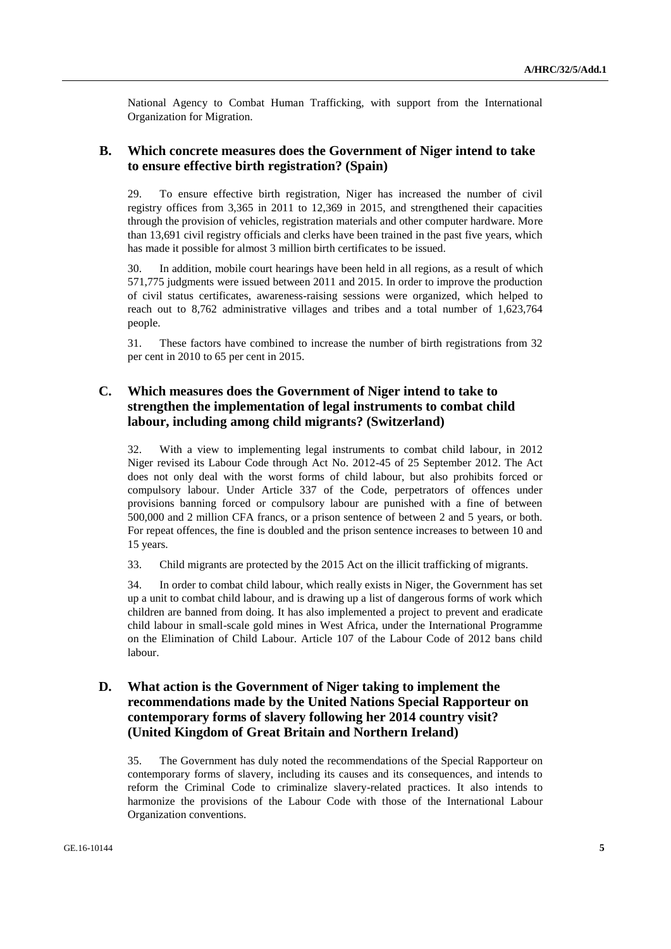National Agency to Combat Human Trafficking, with support from the International Organization for Migration.

### **B. Which concrete measures does the Government of Niger intend to take to ensure effective birth registration? (Spain)**

29. To ensure effective birth registration, Niger has increased the number of civil registry offices from 3,365 in 2011 to 12,369 in 2015, and strengthened their capacities through the provision of vehicles, registration materials and other computer hardware. More than 13,691 civil registry officials and clerks have been trained in the past five years, which has made it possible for almost 3 million birth certificates to be issued.

30. In addition, mobile court hearings have been held in all regions, as a result of which 571,775 judgments were issued between 2011 and 2015. In order to improve the production of civil status certificates, awareness-raising sessions were organized, which helped to reach out to 8,762 administrative villages and tribes and a total number of 1,623,764 people.

31. These factors have combined to increase the number of birth registrations from 32 per cent in 2010 to 65 per cent in 2015.

## **C. Which measures does the Government of Niger intend to take to strengthen the implementation of legal instruments to combat child labour, including among child migrants? (Switzerland)**

32. With a view to implementing legal instruments to combat child labour, in 2012 Niger revised its Labour Code through Act No. 2012-45 of 25 September 2012. The Act does not only deal with the worst forms of child labour, but also prohibits forced or compulsory labour. Under Article 337 of the Code, perpetrators of offences under provisions banning forced or compulsory labour are punished with a fine of between 500,000 and 2 million CFA francs, or a prison sentence of between 2 and 5 years, or both. For repeat offences, the fine is doubled and the prison sentence increases to between 10 and 15 years.

33. Child migrants are protected by the 2015 Act on the illicit trafficking of migrants.

34. In order to combat child labour, which really exists in Niger, the Government has set up a unit to combat child labour, and is drawing up a list of dangerous forms of work which children are banned from doing. It has also implemented a project to prevent and eradicate child labour in small-scale gold mines in West Africa, under the International Programme on the Elimination of Child Labour. Article 107 of the Labour Code of 2012 bans child labour.

## **D. What action is the Government of Niger taking to implement the recommendations made by the United Nations Special Rapporteur on contemporary forms of slavery following her 2014 country visit? (United Kingdom of Great Britain and Northern Ireland)**

35. The Government has duly noted the recommendations of the Special Rapporteur on contemporary forms of slavery, including its causes and its consequences, and intends to reform the Criminal Code to criminalize slavery-related practices. It also intends to harmonize the provisions of the Labour Code with those of the International Labour Organization conventions.